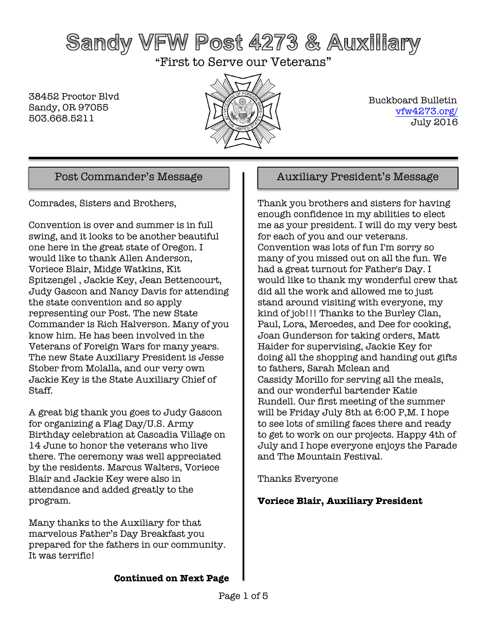# Sandy VFW Post 4273 & Auxiliary

"First to Serve our Veterans"

38452 Proctor Blvd Sandy, OR 97055 503.668.5211



 Buckboard Bulletin vfw4273.org/ July 2016

Comrades, Sisters and Brothers,

Convention is over and summer is in full swing, and it looks to be another beautiful one here in the great state of Oregon. I would like to thank Allen Anderson, Voriece Blair, Midge Watkins, Kit Spitzengel , Jackie Key, Jean Bettencourt, Judy Gascon and Nancy Davis for attending the state convention and so apply representing our Post. The new State Commander is Rich Halverson. Many of you know him. He has been involved in the Veterans of Foreign Wars for many years. The new State Auxiliary President is Jesse Stober from Molalla, and our very own Jackie Key is the State Auxiliary Chief of Staff.

A great big thank you goes to Judy Gascon for organizing a Flag Day/U.S. Army Birthday celebration at Cascadia Village on 14 June to honor the veterans who live there. The ceremony was well appreciated by the residents. Marcus Walters, Voriece Blair and Jackie Key were also in attendance and added greatly to the program.

Many thanks to the Auxiliary for that marvelous Father's Day Breakfast you prepared for the fathers in our community. It was terrific!

### Post Commander's Message Auxiliary President's Message

Thank you brothers and sisters for having enough confidence in my abilities to elect me as your president. I will do my very best for each of you and our veterans. Convention was lots of fun I'm sorry so many of you missed out on all the fun. We had a great turnout for Father's Day. I would like to thank my wonderful crew that did all the work and allowed me to just stand around visiting with everyone, my kind of job!!! Thanks to the Burley Clan, Paul, Lora, Mercedes, and Dee for cooking, Joan Gunderson for taking orders, Matt Haider for supervising, Jackie Key for doing all the shopping and handing out gifts to fathers, Sarah Mclean and Cassidy Morillo for serving all the meals, and our wonderful bartender Katie Rundell. Our first meeting of the summer will be Friday July 8th at 6:00 P,M. I hope to see lots of smiling faces there and ready to get to work on our projects. Happy 4th of July and I hope everyone enjoys the Parade and The Mountain Festival.

Thanks Everyone

#### **Voriece Blair, Auxiliary President**

**Continued on Next Page**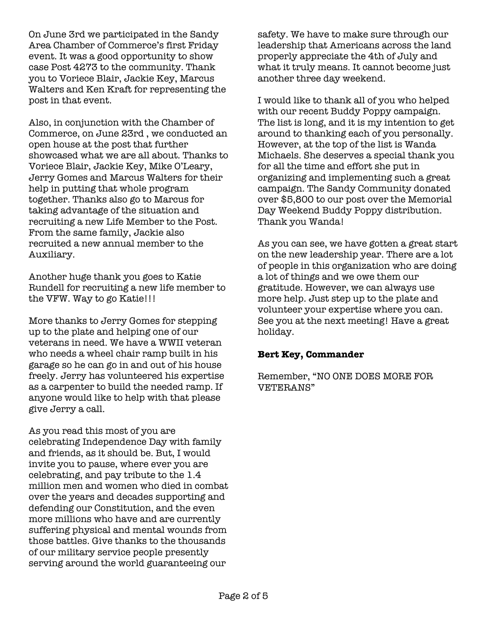On June 3rd we participated in the Sandy Area Chamber of Commerce's first Friday event. It was a good opportunity to show case Post 4273 to the community. Thank you to Voriece Blair, Jackie Key, Marcus Walters and Ken Kraft for representing the post in that event.

Also, in conjunction with the Chamber of Commerce, on June 23rd , we conducted an open house at the post that further showcased what we are all about. Thanks to Voriece Blair, Jackie Key, Mike O'Leary, Jerry Gomes and Marcus Walters for their help in putting that whole program together. Thanks also go to Marcus for taking advantage of the situation and recruiting a new Life Member to the Post. From the same family, Jackie also recruited a new annual member to the Auxiliary.

Another huge thank you goes to Katie Rundell for recruiting a new life member to the VFW. Way to go Katie!!!

More thanks to Jerry Gomes for stepping up to the plate and helping one of our veterans in need. We have a WWII veteran who needs a wheel chair ramp built in his garage so he can go in and out of his house freely. Jerry has volunteered his expertise as a carpenter to build the needed ramp. If anyone would like to help with that please give Jerry a call.

As you read this most of you are celebrating Independence Day with family and friends, as it should be. But, I would invite you to pause, where ever you are celebrating, and pay tribute to the 1.4 million men and women who died in combat over the years and decades supporting and defending our Constitution, and the even more millions who have and are currently suffering physical and mental wounds from those battles. Give thanks to the thousands of our military service people presently serving around the world guaranteeing our

safety. We have to make sure through our leadership that Americans across the land properly appreciate the 4th of July and what it truly means. It cannot become just another three day weekend.

I would like to thank all of you who helped with our recent Buddy Poppy campaign. The list is long, and it is my intention to get around to thanking each of you personally. However, at the top of the list is Wanda Michaels. She deserves a special thank you for all the time and effort she put in organizing and implementing such a great campaign. The Sandy Community donated over \$5,800 to our post over the Memorial Day Weekend Buddy Poppy distribution. Thank you Wanda!

As you can see, we have gotten a great start on the new leadership year. There are a lot of people in this organization who are doing a lot of things and we owe them our gratitude. However, we can always use more help. Just step up to the plate and volunteer your expertise where you can. See you at the next meeting! Have a great holiday.

#### **Bert Key, Commander**

Remember, "NO ONE DOES MORE FOR VETERANS"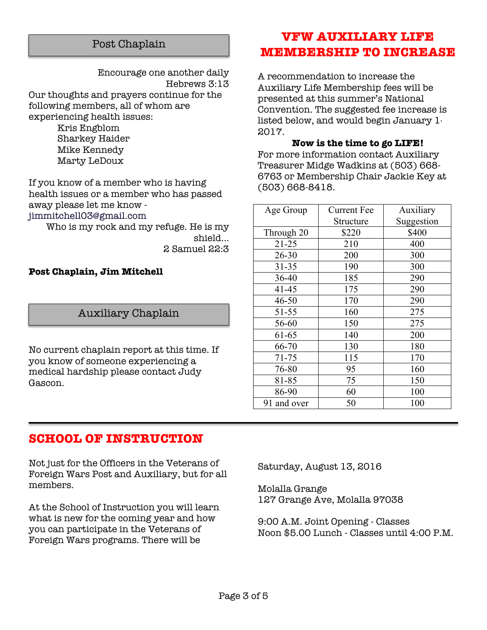#### Post Chaplain

Encourage one another daily Hebrews 3:13 Our thoughts and prayers continue for the following members, all of whom are experiencing health issues: Kris Engblom

Sharkey Haider Mike Kennedy Marty LeDoux

If you know of a member who is having health issues or a member who has passed away please let me know jimmitchell03@gmail.com

Who is my rock and my refuge. He is my shield... 2 Samuel 22:3

#### **Post Chaplain, Jim Mitchell**

#### Auxiliary Chaplain

No current chaplain report at this time. If you know of someone experiencing a medical hardship please contact Judy Gascon.

### **VFW AUXILIARY LIFE MEMBERSHIP TO INCREASE**

A recommendation to increase the Auxiliary Life Membership fees will be presented at this summer's National Convention. The suggested fee increase is listed below, and would begin January 1, 2017.

**Now is the time to go LIFE!** For more information contact Auxiliary Treasurer Midge Wadkins at (503) 668- 6763 or Membership Chair Jackie Key at (503) 668-8418.

| Age Group   | <b>Current Fee</b> | Auxiliary  |
|-------------|--------------------|------------|
|             | Structure          | Suggestion |
| Through 20  | \$220              | \$400      |
| $21 - 25$   | 210                | 400        |
| $26 - 30$   | 200                | 300        |
| $31 - 35$   | 190                | 300        |
| $36 - 40$   | 185                | 290        |
| $41 - 45$   | 175                | 290        |
| $46 - 50$   | 170                | 290        |
| 51-55       | 160                | 275        |
| 56-60       | 150                | 275        |
| 61-65       | 140                | 200        |
| 66-70       | 130                | 180        |
| 71-75       | 115                | 170        |
| 76-80       | 95                 | 160        |
| 81-85       | 75                 | 150        |
| 86-90       | 60                 | 100        |
| 91 and over | 50                 | 100        |

#### **SCHOOL OF INSTRUCTION**

Not just for the Officers in the Veterans of Foreign Wars Post and Auxiliary, but for all members.

At the School of Instruction you will learn what is new for the coming year and how you can participate in the Veterans of Foreign Wars programs. There will be

Saturday, August 13, 2016

Molalla Grange 127 Grange Ave, Molalla 97038

9:00 A.M. Joint Opening - Classes Noon \$5.00 Lunch - Classes until 4:00 P.M.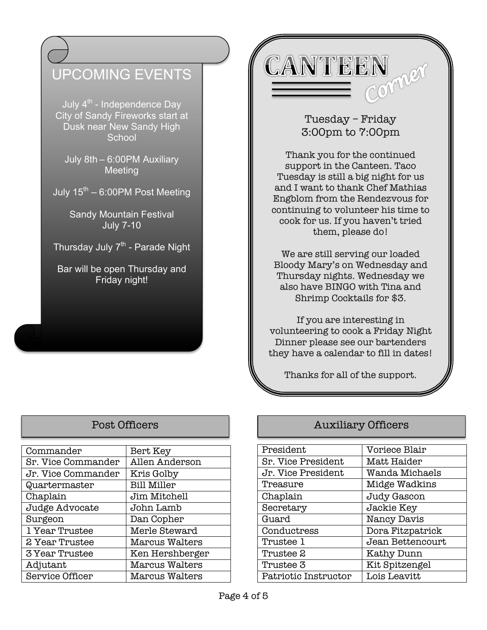## UPCOMING EVENTS

July  $4^{th}$  - Independence Day City of Sandy Fireworks start at Dusk near New Sandy High **School** 

July 8th – 6:00PM Auxiliary Meeting

July  $15^{th}$  – 6:00PM Post Meeting

Sandy Mountain Festival July 7-10

Thursday July  $7<sup>th</sup>$  - Parade Night

Bar will be open Thursday and Friday night!

CANTEEN Comper

### Tuesday – Friday 3:00pm to 7:00pm

Thank you for the continued support in the Canteen. Taco Tuesday is still a big night for us and I want to thank Chef Mathias Engblom from the Rendezvous for continuing to volunteer his time to cook for us. If you haven't tried them, please do!

We are still serving our loaded Bloody Mary's on Wednesday and Thursday nights. Wednesday we also have BINGO with Tina and Shrimp Cocktails for \$3.

If you are interesting in volunteering to cook a Friday Night Dinner please see our bartenders they have a calendar to fill in dates!

Thanks for all of the support.

| Commander              | Bert Key              |  |
|------------------------|-----------------------|--|
| Sr. Vice Commander     | Allen Anderson        |  |
| Jr. Vice Commander     | Kris Golby            |  |
| Quartermaster          | <b>Bill Miller</b>    |  |
| Chaplain               | Jim Mitchell          |  |
| Judge Advocate         | John Lamb             |  |
| Surgeon                | Dan Copher            |  |
| 1 Year Trustee         | Merle Steward         |  |
| 2 Year Trustee         | <b>Marcus Walters</b> |  |
| 3 Year Trustee         | Ken Hershberger       |  |
| Adjutant               | <b>Marcus Walters</b> |  |
| <b>Service Officer</b> | <b>Marcus Walters</b> |  |

#### Post Officers **Auxiliary Officers**

| President                 | Voriece Blair    |  |
|---------------------------|------------------|--|
| <b>Sr. Vice President</b> | Matt Haider      |  |
| Jr. Vice President        | Wanda Michaels   |  |
| Treasure                  | Midge Wadkins    |  |
| Chaplain                  | Judy Gascon      |  |
| Secretary                 | Jackie Key       |  |
| Guard                     | Nancy Davis      |  |
| Conductress               | Dora Fitzpatrick |  |
| Trustee 1                 | Jean Bettencourt |  |
| Trustee 2                 | Kathy Dunn       |  |
| Trustee 3                 | Kit Spitzengel   |  |
| Patriotic Instructor      | Lois Leavitt     |  |